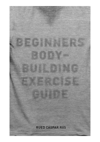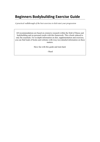# **Beginners Bodybuilding Exercise Guide**

*A practical walkthrough of the best exercises to kick-start your progression*

All recommendations are based on extensive research within the field of fitness and bodybuilding and on personal results with this framework. This a book reduced to only the essentials. For in-depth information on diet, supplementation and exercises, you can find loads of books and websites with (way too) detailed information on these matters.

Have fun with this guide and train hard.

- Rued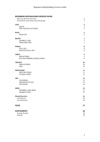# **BEGINNERS BODYBUILDING EXERCISE GUIDE**

| Only use the best exercises<br>No need for more than 8 muscle groups | 3<br>3         |
|----------------------------------------------------------------------|----------------|
| LEGS                                                                 | 5              |
| SQUAT                                                                | $\mathsf S$    |
| <b>ONE-LEGGED CALF RAISE</b>                                         | 5              |
| BACK                                                                 | 6              |
| <b>DEAD LIFT</b>                                                     | 6              |
| <b>BICEPS</b>                                                        | 7              |
| <b>DUMBELL CURL</b>                                                  | $\overline{7}$ |
| PREACHER CURL                                                        | $\overline{7}$ |
| WINGS                                                                | ${\bf 8}$      |
| PULL-UPS                                                             | $\, 8$         |
| <b>NEGATIVE PULL-UPS</b>                                             | $\, 8$         |
| CHEST                                                                | 9              |
| <b>BENCH PRESS</b>                                                   | 9              |
| INCLINE DUMBBELL BENCH PRESS                                         | 9              |
| <b>TRICEPS</b>                                                       | 10             |
| <b>FRENCH PRESS</b>                                                  | 10             |
| <b>DIPS</b>                                                          | 10             |
| <b>SHOULDERS</b>                                                     | 11             |
| <b>MILITARY PRESS</b>                                                | 11             |
| <b>LATERAL RAISE</b>                                                 | 11             |
| <b>ABS</b>                                                           | 13             |
| THE WHEEL                                                            | 13             |
| <b>WEIGHTED SIT-UPS</b>                                              | 13             |
| <b>LEG RAISES</b>                                                    | 14             |
| <b>SIDES</b>                                                         | 15             |
| <b>DUMBBELL SIDE BEND</b>                                            | 15             |
| <b>OBLIQUE TWIST</b>                                                 | 15             |
| <b>Mental barriers</b>                                               | 16             |
| First barrier                                                        | 16             |
| Second barrier                                                       | 16             |
| <b>FOOD</b>                                                          | 17             |
| <b>SUPPLEMENTS</b>                                                   | 18             |
| Protein Powder                                                       | 18             |
| Fish Oil                                                             | $18\,$         |
|                                                                      |                |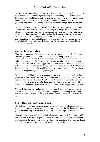Welcome to Beginners Bodybuilding Exercise Guide. What you have found here is a head start into the world of weight training and bodybuilding. This exercise guide filters out the noise of hundreds of inefficient exercises and saves you from time and injuries. The Internet is a jungle of suggested routines, programs, and whatnot, but you really only need a handful of powerful, basic exercises to give you great results.

What you will find in this guide is a brief description of what to focus on when doing each exercise. Every exercise is accompanied by a "3 things to keep in mind" list. These three things are what you will be focusing on when you're lying on the bench, squatting, or doing any other exercise. By keeping it simple and focusing on three key technical features of the exercise, you will be covered and assured that you do everything the right way, and at the same time you won't need a personal trainer, a bodybuilding bible, or other detailed assistance. We're aiming at keeping things simple and efficient!

### **Only use the best exercises**

There is a vast amount of sources to get inspired by, but also to get misled by. Many of the things you find on YouTube and on the bodybuilding sites are, if not misleading, then a derailed attempt at coming up with new or innovative ways to train. In the eternal hunt for the secret exercise that transforms you into a machine, one comes across a lot of weird suggestions, but such an exercise is however nowhere to find. There is a ton of exercises for each part of the body, but forget about them all for a second. You only need a handful of exercises for each body part. The key is to keep increasing the weight, as you get stronger.

What?! Is that it?! No percentages, no tables of progression, and no preaching about principles of overload and whatnot? No, not this time. What you get here is what you need and nothing more than that. Feel free to pick your favorites, alter the order of exercises, and tweak them to make them your own. But the main structure of this school of working out is not in question, as it has been tested and proven for decades.

Your body is your own – and therefore no one can tell you how fast to progress or how exactly to go about in the gym. The right progression is when you are strong enough to move on to heavier weights. A simple advice on progression follows later on.

### No need for more than 8 muscle groups

The body can be divided into eight muscle groups. For each muscle group, you will get a number of exercises you use to build your body into a shredded machine. Maybe you will wonder why there are not 10 or 20 different muscle groups to work on.

That is because if you work with the following exercises they will focus on a specific muscle *group* in the best way possible, and that means that the muscles surrounding and supporting the muscle working are worked at the same time. Therefore you do not need a dozen of exercises for every little muscle in your body.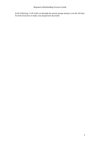In the following, I will walk you through the muscle groups and give you the All-time Favorite Exercises to make your progression skyrocket.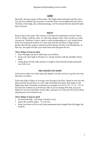### *LEGS*

Basically, the legs consist of three parts: The thighs (front and back) and the calves. You get two essential leg exercises to work the front of your thighs and your calves. The back of the thigh, also called hamstrings, will be trained from the dead lift under back exercises.

### **SQUAT**

King of legs is the squat. This exercise is the heaviest and hardest exercise I know, but it is totally worth the work. As with many things in life, what you put in is what you get out. Therefore, a heavy squat is worth incorporating as a very central focus point of your general workout. It is also said, that the activation of huge muscle groups like the legs release a natural growth hormone out into your bloodstream. In that way, the squat will fuel your entire body and add gains all over.

### **Three things to keep in mind**

- Press through your heels rather than your forefoot.
- Keep your chest high at all times in a 'proud' posture with the shoulders drawn back.
- Going deep with the right amount of weight is more beneficial than going half way with a ton

### **ONE-LEGGED CALF RAISE**

Good calves make your entire legs look shaped. Use this exercise to get the nice tone that shows in shorts.

Find some kind of object to leverage your foot above the floor. Stand on one foot and push yourself up and down in a slow and controlled movement. Rep range is a bit higher here than I normally recommend; an example is to do  $20$ ,  $20 + 15$ ,  $15 + 10$ ,  $10$ for each foot without any rest between. But if you're stronger than that, just go to failure for one foot, hit failure on the other, and start over with your first foot without enjoying any rest in between sets.

- Go deep and high full range of motion is key
- Enjoy the eccentric phase it is for free
- Keep your knees still to avoid using momentum and strength from the bigger leg muscles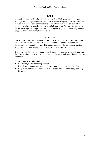# *BACK*

A broad and toned back makes the t-shirts sit well and helps you keep a nice and sound posture throughout the day. One piece of advice that goes for all back exercises is to draw your shoulders backwards and down. This is to take the pressure off the spine in exercises like deadlift, bent-over barbell, and rows. Do your back exercises before any wings and biceps exercises to have a good grip and pulling strength in the bigger and more demanding back exercises.

### **DEAD LIFT**

The dead lift is a very fundamental exercise. It will build your back from ass to neck and works a wide array of muscles. Also, the deadlift will build you some serious hamstrings – the back of your legs. These muscles support the back in drawing the weight from the floor and up into a proud posture with your chest held high.

Use some pads for better grip, since you will rapidly increase the weight of your dead lift. This requires a lot of grip strength, thus building great underarms that can hold on to the bar.

- Use mixed grip for better grip strength
- Extend your legs and back simultaneously not first one and then the other
- Keep a curved back at all times never do a rep where the upper body is falling forwards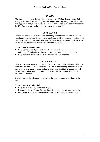### *BICEPS*

The bicep is the muscle that people choose to show off when demonstrating their strength. It is the classic sign of physical strength, and a big bicep looks really good and supports all the pulling exercises. It is important to note that biceps only account for 1/3 of the arm size, so be sure to work that tricep as well.

### **DUMBELL CURL**

This exercise is executed by standing up holding one dumbbell in each hand. Turn your hands outwards and draw through your biceps to lift the weights simultaneously. Turning your thumbs outwards with your palms facing up, you concentrate the force on the biceps, targeting these muscles as much as possible.

### **Three things to keep in mind**

- Keep your elbows aligned with or in front of your hips.
- Full range of motion is the direct way to a long, thick and athletic biceps.
- Keep a straight back, high chest and no swaying back and forth.

### **PREACHER CURL**

This exercise is the same as dumbbell curls, but you just hold your hands differently to involve the muscles of the underarms. Instead of palms facing upwards, you will now want to hold like if it was a sack, a joystick, or a dumbbell in a preacher curl. That means turning your palms a little inwards so that the dumbbells are vertical instead of horizontal.

Do this exercise directly after the normal curl to squeeze out that last juice of the biceps.

- Keep elbows and weights in front of you.
- Don't drop the weights on the way down from a rep use the negative phase
- Do as many as possible directly after normal curls using the same weights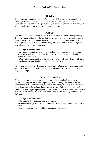### *WINGS*

One of the most important features of getting that desired, athletic V-shaped body is the wings. They sit under and behind the armpits and allow you to drag yourself upwards with help from the biceps. Big wings won't make you fly, but they will give you a broader back, a shaped body and a strong pull-up.

#### **PULL-UPS**

The pull-up is the king of wing exercises. It is a hard exercise that levers your body from the ground and up over the bar that you are holding on to. A reason to love the pull-up is that it is a very natural and basic movement that will save your life when hanging from a tree or from a cliff side. Being able to lift your own body weight is overall satisfying at a very basic level.

#### **Three things to keep in mind:**

- A wider grip targets wings more than a closer grip biceps-involving pull-up.

- Try not to arch your back forward – keep a straight back with the shoulders pulled back and down.

- Don't relax your shoulders in the hanging position – lift yourself up a little bit by drawing down your shoulders and keeping your neck free.

If you're a small guy, it will be easier than if you're a big fellow. The starting point for those, who cannot do pull-ups is  $-$  no, not only pull-downs as many advise  $$ negative pull-ups.

### **NEGATIVE PULL-UPS**

Negative pull-ups are a great aid to either start doing normal pull-ups or to just squeeze the last juice out of a set of pull-ups. The word negative refers to the negative phase in which the force is applied, the way from being up high to slowly letting your body descent towards the floor. Jump back up or use a chair to get up again, and repeat until your negative phase goes too fast because you're exhausted. Learn to love this way of finishing a set – it is a very simple way to hit your wings and biceps a little extra.

### **Three things to keep in mind**

- Descent slowly – let the descent last 3 seconds.

- Continue the negative movement till the end of your range of motion – until you hang.

- Keep a proud posture – chest high, shoulders back, chin up.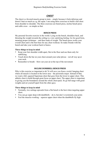# *CHEST*

The chest is a favored muscle group to train – simply because it feels delicious and doesn't hurt as much as e.g. the squat. I am using three exercises to build a full chest from shoulder to shoulder. The three exercises are bench press, incline bench press and cable cross – as simple as that.

#### **BENCH PRESS**

My personal favorite exercise in the world. Lying on the bench, shoulders back, and thrusting the weight towards the ceiling is a very satisfying feeling. Go for good form, meaning proper technique – and then loads of weight. The bench press works your overall chest and is the best base for any chest workout. So make friends with the bench and take your workout back to basics.

### **Three things to keep in mind**

- Keep your feet shoulder width apart, flat in the floor and use them only for stabilizing.
- Touch down the bar on your chest around your solar plexus not all way up at your neck.
- Remember to breath blow out your air at the top of the movement

### **INCLINE DUMBBELL BENCH PRESS**

Why is this exercise so important to do? It will save you from a weird, hanging chest where all muscle is located in the lower area – the pectoralis major. Instead of that, we want a full, squared Superman chest that goes from the lower to upper chest. This athletic chest is build through great focus on upper chest. The upper chest is important in giving you the boundaries around the whole chest-pack. So go full range with good weights and set yourself apart from the other guys.

- Normally, two settings upwards from a flat bench is the best when targeting upper chest.
- You can go super deep with dumbbells do it, but don't overstretch your joints
- Feel the muscles working squeeze upper chest when the dumbbells fly high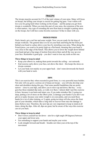### *TRICEPS*

The triceps muscles account for 2/3 of the total volume of your arms. Many will focus on biceps, but killing your triceps is crucial for getting big guns. Your t-shirts will love you for going hard when working on the triceps – and the pump you get from triceps is wonderful. When you train this part of your arms, the extension of the arm is what matters. Any type of extending the arm from bent to straight is putting stress on the triceps, but I still have some favorite exercises I'd like to share with you.

### **FRENCH PRESS**

Find a bench, get a curl bar and some weight. Now you are ready for the king of triceps workouts. The general idea is to lie on your back and bring the bar from just behind your head to a place above your face by stretching your arms. When doing the French press, you want to lie pretty high on a flat bench, meaning that your head is very close to the edge of the bench. This allows you to lower the weight down behind your head and get a big range of motion from down there and all the way up over your face. Remember a good grip – you don't want to lose any teeth on this one.

### **Three things to keep in mind**

- Keep your elbows in, making them point towards the ceiling not outwards.
- End exercise early above your face, not above the chest this keeps the stress on triceps constant.
- Let your body rest mainly on your upper back don't stem downwards the bench with your head or neck.

### **DIPS**

This is an exercise that, when executed in good form, is a very powerful mass builder. Not only will you grow a serious set of deep-cut triceps – you will also develop your chest and shoulders during this guy. Find some parallel handlebars that are pretty narrow – close to your hips, and allow you to move up and down. But hey – every gym has those standard dip racks, so walk over there. I almost didn't put this exercise in here, because it can harm and injure you, if you make mistakes like 1) going too deep, putting a lot of stress on the elbow joint, 2) damage your hands if you don't use gloves or pads, because your entire weight is on your palms, and you need those hands for a lot of other training, or 3) again, going too deep will also stress the front part of your shoulder, which takes a long time to recover from once the damage is done (believe me). Therefore, the next tips are very important to keep in mind at all times, doing the dips. After all, dips are great, but be aware of the ways this exercise can set you back.

- Don't lower yourself too far down aim for a right angle (90 degrees) between your upper and lower arm.
- Get something to support your hands and maybe your wrists
- Look straight forward and breath breathe out when your at the top of the movement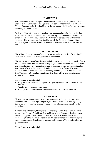### *SHOULDERS*

For the shoulder, the military press and the lateral raise are the two princes that will pack on clay to your width. Having strong shoulders is important when wanting the V-shaped athletic body. The shoulders are the top point of the V, and they must be the broadest part of our bodies.

With just a little effort, you can round up your shoulders instead of having the sharp, weak ones that show in a t-shirt, a shirt or a tank top. The shoulders consist of three different parts, of which you must work all of them to get powerful and rounded shoulders. The two exercises described here work the front and side part of the shoulder region. The back part of the shoulder is worked in back exercises, like the row.

### **MILITARY%PRESS**

The Military Press is a wonderful exercise, taking us back to basics of what shoulder strength is all about – leveraging stuff from low to high.

The basic exercise is performed with a barbell, some weight, and maybe a pair of pads for the hands. Stand with the barbell resting on your upper chest and thrust it into the air. This is the basic movement. It's normal to be strong to start out with, killing the first couple of sets, and then suddenly failing on the third or fourth. When this happens, you can squeeze out the last power by supporting the lift a little with the legs. This is down by bending slightly and then doing a little jump simultaneously with the shoulder press.

### **Three things to keep in mind**

- Keep a tight core keep a straight back, tighten your bum and push hips a little forward.
- Stand with feet shoulder width apart
- Have your elbows underneath your hands so the bar doesn't fall forwards.

#### **LATERAL%RAISE**

This exercise targets the outer part of your shoulders, which really adds to your broadness. Start out with light weights if you're new to this one. Choosing a weight that is too heavy ruins the exercise because you have to use momentum from the entire body.

Remember to lift the weights high and nearly straight arms. And as always – take your time on the way from high to low and learn to love that eccentric phase where the magic happens. "Time Under Tension" is a term to explore if interested, but the main concept is that the muscle needs to be stressed for longer time and throughout the entire movement. So enjoy the stretching and stressing of the negative phase on your way down.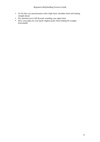- Go for that very proud posture with a high chest, shoulders back and looking straight ahead.
- Pay attention not to fall forward, rounding your upper back
- Have your pinky be your hand's highest point when holding the weights horizontally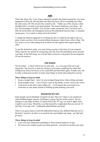### *ABS*

Those abs, those abs. A lot of guys and girls consider this muscle group the very most important of them all. Having great abs takes the focus off of everything else when the shirt comes off. The reason why is hard to tell – I think one of the reasons is that shredded abs or so hard to get and maintain. The muscle build up is one thing – the low fat percentage is another. You can have super strong abs, but if you have just a little fat on the belly, the boundaries between the abdominal muscles fade. A common saying goes, "A six-pack is achieved in the kitchen."

A simple but efficient approach to working the abs is to split the ab region into two parts, where you have it all covered without doing any weird twists, rolls or flips. The two areas to cover when doing an ab workout are the regular front region and the sides.

To get the desired six-pack, you need strong muscles at the front of your stomach. These muscles are trained by contracting your abs from the breastbone down towards your hips. In the following, you will get three exercises to skyrocket the development of your ab muscles.

### **THE%WHEEL**

The ab wheel – a wheel with levers on each side – is a very powerful tool to get strong abs. The exercise is done by sitting on your knees, grabbing the wheel and rolling away from your knees as far as possible and then back again. Sounds easy, but it really is hard and you have to keep some things in mind when doing the exercise.

### **Three things to keep in mind**

- Keep a straight back don't let your stomach hang down when rolling outwards.
- Keep straight wrists a lot of stress is put on the hands, so don't twist your wrists.
- Look down at the floor when rolling out it will ensure that your head is an extension of your spine instead of looking up and straining your neck.

### **WEIGHTED SIT-UPS**

Some people can do hundreds of regular sit-ups. That isn't what we are aiming for when building bigger muscles. Endurance is great, but not in this context. We are aiming at a rep range of about 10, and to fail at the  $10<sup>th</sup>$  rep, we need to apply extra weight to our sit-ups. Therefore, you find yourself a weight plate that you can do 10 and only 10 sit-ups with – holding the plate behind your head.

There is no good reason to treat the abdominal muscles any different than the rest of the body's muscles. So there is no need for the usual higher rep range – go hard and go heavy.

- Lock your feet underneath something or find a bench made for sit-ups.
- Do not use the weight to pull your head upwards just hold it towards your neck.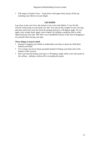• Full range of motion is key – touch down with upper back and go all the up, touching your elbows on your thighs.

#### **LEG%RAISES**

Leg raises work your lower abs and give you a nice and athletic V-cut. Do this exercise when lying on your back on a mat. You can use the weight of your own legs and raise and lower your feet from the ground and up to a 90-degree angle. Or you apply extra weight (read: apply extra weight!) by holding a medicine ball or other object between your feet. NB: Don't use a dumbbell because of the risk of dropping it on yourself when raising your legs.

- Instead of tugging your hands in underneath your hips as many do, hold them behind your head.
- Try to keep your lower back grounded instead of letting your back arch at the bottom of the exercise.
- Don't go beyond raising your legs to a 90 degrees angle where your soles point at the ceiling – nothing is achieved by exceeding this point.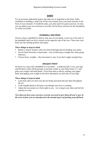### *SIDES*

For an awesome abdominal region, the sides are as important as the front. Sides contribute to building a solid core all the way around, from your back muscles to the front of your stomach. To build the sides, you only need two great exercises. In time, you can adjust your core sessions as you like, but let these exercises be the foundation on which you build.

### **DUMBBELL SIDE BEND**

Choose a heavy dumbbell to hold in only one of your hands. Lean over to the side of the dumbbell until you feel a stretch on the opposite side of the core. Then raise your body into the starting position and repeat.

#### **Three things to keep in mind**

- Retain a 'proud' posture with your chest held high and not bending your spine.
- Do not bend forwards or backwards aim at following a straight line when going sideways.
- Choose heavy weights this movement is easy if you don't apply enough force.

### **OBLIQUE TWIST**

Sit down on a mat with a dumbbell or even better  $-$  a medicine ball. Cross your legs and lift them a little off the ground. Lean back a little so your body forms a V, and grab your weight with both hands. Twist from side to side by rotating your upper body and tapping your weight on the floor alternately on each side of your hips.

### **Three things to keep in mind**

- Lean back until you feel your abs are being activated and stay there throughout the set.
- Look straight ahead at all times even though your torso is rotating.
- Adjust the movement so it feels right to you try to target your sides and feel the muscles at work.

### *Now that you have your exercises covered, you need to give them all you've got. In the next section, you are introduced to the mental aspect of pushing yourself hard.*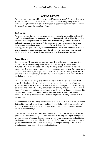### *Mental%barriers*

When you work out, you will face what I call "the two barriers". These barriers are in your mind, and you will have to overcome them in order to keep going. Body and mind are completely interlinked – so being able to push through your mental barriers is essential when pushing your body further.

### **First barrier**

When doing a set during your workout, you will eventually feel tired towards the  $7<sup>th</sup>$ or  $8<sup>th</sup>$  rep, depending on the amount of weight. Many people quit at this point, feeling the muscles getting tired from the work. The first barrier is your mind saying: "I'd rather stop in order to save energy". But this message has its origins in the ancient human mind – wanting to conserve energy for harsh times. We live in the  $21<sup>st</sup>$ century, and the game has changed from then to now. Therefore, you want to use that energy in order to stress your muscles, which leads to growth. Overcome the first barrier, do the extra reps and do not stop when early tiredness gets to your mind.

### **Second barrier**

Congratulations! Every set from now on, you will be able to push through the first barrier. That is accomplishing much more than the majority of people working out. Way too often, you'll see people dropping the weights too early without pushing themselves. It is clear to everyone, and not at least to themselves, that they could have done a couple more reps – no problem. You know that you can! Being able to do so, breaking barrier number one, is so essential for your results. As they say: "What you put in is what you get out".

The second barrier is a tough one. This is where I usually fail on my bad workout days. The first barrier is easy to break once you get to like the feeling of pushing yourself a little extra. The second barrier is facing you when you find yourself having done three and a half set – feeling exhausted from pushing through barrier one several times. You want to drop the weights, because you think; "I've done a good job on this one – it must be enough". When you hear this little voice in your head, you cannot listen! This is really what kick starts your muscle growth – pushing through barrier number two.

Chest high and chin up – pull yourself together and give it 105% in that last set. When fatigue hits you, grab some lighter weights and go to failure with these ones. It is all about crossing the line of what you initially, before picking up the weights, thought would be possible for you.

Your results are closely linked to your mindset around working out – squeeze the last juice out of your fibers, and you will be rewarded in the long run. If you managed to create a mindset of pushing through barrier two on every exercise, you will get to feel the famous "pump" that Arnold talked about. And after your workout, you can look at yourself in the mirror, and — besides seeing your pumped up body — be satisfied with the great work your body and mind put in today.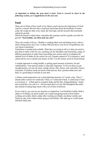*As important as hitting the gym hard is food. Food is covered in short in the following section, as is supplements in the next one.* 

# **Food**

There are no limits of how much every fitness coach stresses the importance of food. And for a reason! But lets take a step back and forget about the hundreds of amino acids, the weigh-ins after every meal, the food logs, and the hysteria that surrounds eating for growth.

When the board is wiped clean, remember this sentence and let it guide your diet for growth: **"Eat healthy, eat often and eat a lot!"**

Then, the coaches will say; "Healthy is reading labels and calculating levels, often is about setting timers and 'a lot' is about 500 kcal above your level of equilibrium, but very hard to determine."

Translation is needed and available. What they are trying to tell us is that you need to pay them to tailor a diet for you, coaching you for discipline and measuring a range of different parameters to make basic knowledge into science and try to pinpoint the optimal level of intake by the calorie for you. Sounds expensive? It is expensive, and I cannot advise you to spend your money on this. Use the money saved on food instead.

A simple approach to eating healthy is getting equal amounts of protein, fat and carbohydrates. Your protein intake is especially important. To be sure that you get enough protein, you can eat meat, cottage cheese, fish, cheese, nuts, and other sources of protein. If all these foods are hard to find and eat, then a protein shake here and there is a good thing to include in your diet.

A fitness coach proposed to me a meal planning structure of 7 meals a day. These 7 should either consist of 4 solid and 3 fluid, or 3 solid and 4 fluid. A solid meal is food as you know it – a fluid meal is a protein shake and the like. Eating/drinking  $7$  meals may sound like a lot, and it is – but the main idea is to stay full throughout the entire day instead of eating large meals with a lot of time in between.

If you want to, you can use my structure as inspiration: I eat breakfast (solid), drink a shake at 10 (fluid), eat lunch (solid), eat a small energizing meal an hour before working out (solid), drink a shake after working out (fluid), eat dinner (solid), and finish my day with a shake before going to bed (fluid). This adds up to 4 solid meals and three fluid ones.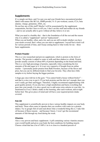### **Supplements**

It's a jungle out there, and I'm sure you and your friends have encountered product labels with names like BCAA, HMB powder, N. O. pre-workout, casein, CLA, beta alanine, vitargo, glutamine, ZMA, etc.

Do not buy any of this stuff! Maybe I will be assassinated by the supplement corporations, but this I have to tell you. I don't eat this stuff and neither do my friends – and we are actually able to grow without all that, believe it or not.

What you need is a healthy diet – that is the foundation of all the rest and the reason why it is called a "supplement" and not "replacement".

When you eat healthy, often, and a lot, and you are still in doubt whether you have your needs covered, that's when you can start to supplement. I myself have tried it all for various periods of time, and I keep coming back to what works for me – three basic supplements.

### **Protein Powder**

This is a very researched and proven supplement, which is protein in the form of powder. The powder is added to water or milk and then shaken to a drink. Protein powder usually consists of about 80% of protein depending on the brand and kind. This is a very high percentage of protein, especially when considering the low amounts of fat and sugar in it. It is not very expensive if bought from an online retailer – I personally prefer protein from Bulk Powders, because of the flavor and price, but you can try different kinds to find your favorite. They often have little samples to try before buying the bigger portions.

A huge guy once told me in the gym: "You cannot build a house without bricks!" – and that is a nice way to put it. If you lack proteins and the diet isn't enough, then you won't really get fitter and bigger. Therefore, I highly recommend supplementing with good quality protein. If you also have a high metabolism and burns everything that goes into your mouth, it is also a good way to add some extra calories to your diet. As mentioned in *Food*, I drink a shake in the morning, after each workout, and at night before bed. This gives piece of mind and will have your required protein intake covered.

### **Fish Oil**

This supplement is scientifically proven to have various healthy impacts on your body and brain. These often come in capsules that you swallow with water (or a protein shake). Try to google fish oil and read about what a wonderful thing this is. I take fish oil because of these reasons – and because I know, I won't get the recommend amounts of fish through my food during the week.

### **Vitamins**

Also a very proven and basic supplement. A pill containing various vitamins ensures your overall health and gives your body the best conditions for building muscle. Choose a kind that has a lot of 100%'s in it or close to a hundred percent of